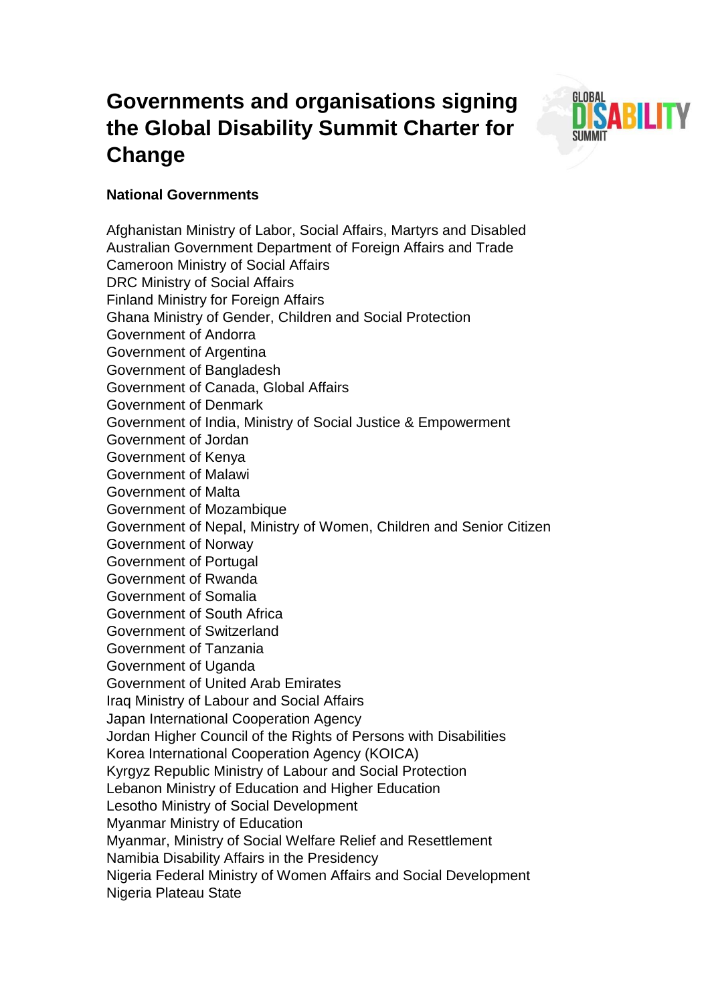# **Governments and organisations signing the Global Disability Summit Charter for Change**



## **National Governments**

Afghanistan Ministry of Labor, Social Affairs, Martyrs and Disabled Australian Government Department of Foreign Affairs and Trade Cameroon Ministry of Social Affairs DRC Ministry of Social Affairs Finland Ministry for Foreign Affairs Ghana Ministry of Gender, Children and Social Protection Government of Andorra Government of Argentina Government of Bangladesh Government of Canada, Global Affairs Government of Denmark Government of India, Ministry of Social Justice & Empowerment Government of Jordan Government of Kenya Government of Malawi Government of Malta Government of Mozambique Government of Nepal, Ministry of Women, Children and Senior Citizen Government of Norway Government of Portugal Government of Rwanda Government of Somalia Government of South Africa Government of Switzerland Government of Tanzania Government of Uganda Government of United Arab Emirates Iraq Ministry of Labour and Social Affairs Japan International Cooperation Agency Jordan Higher Council of the Rights of Persons with Disabilities Korea International Cooperation Agency (KOICA) Kyrgyz Republic Ministry of Labour and Social Protection Lebanon Ministry of Education and Higher Education Lesotho Ministry of Social Development Myanmar Ministry of Education Myanmar, Ministry of Social Welfare Relief and Resettlement Namibia Disability Affairs in the Presidency Nigeria Federal Ministry of Women Affairs and Social Development Nigeria Plateau State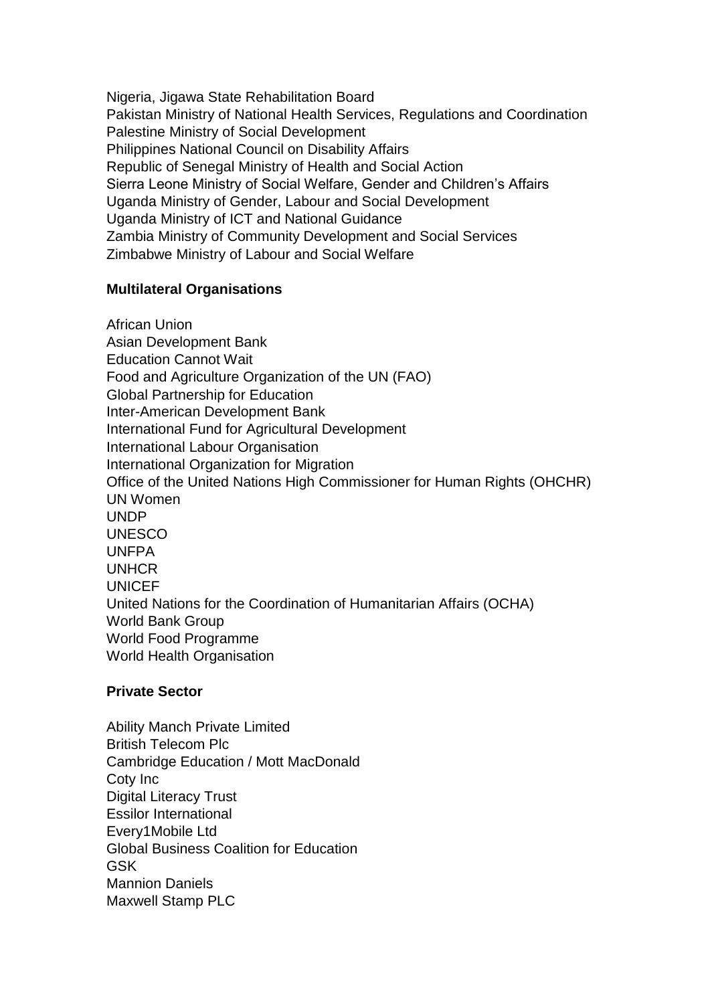Nigeria, Jigawa State Rehabilitation Board Pakistan Ministry of National Health Services, Regulations and Coordination Palestine Ministry of Social Development Philippines National Council on Disability Affairs Republic of Senegal Ministry of Health and Social Action Sierra Leone Ministry of Social Welfare, Gender and Children's Affairs Uganda Ministry of Gender, Labour and Social Development Uganda Ministry of ICT and National Guidance Zambia Ministry of Community Development and Social Services Zimbabwe Ministry of Labour and Social Welfare

## **Multilateral Organisations**

African Union Asian Development Bank Education Cannot Wait Food and Agriculture Organization of the UN (FAO) Global Partnership for Education Inter-American Development Bank International Fund for Agricultural Development International Labour Organisation International Organization for Migration Office of the United Nations High Commissioner for Human Rights (OHCHR) UN Women **UNDP** UNESCO UNFPA UNHCR **UNICEF** United Nations for the Coordination of Humanitarian Affairs (OCHA) World Bank Group World Food Programme World Health Organisation

### **Private Sector**

Ability Manch Private Limited British Telecom Plc Cambridge Education / Mott MacDonald Coty Inc Digital Literacy Trust Essilor International Every1Mobile Ltd Global Business Coalition for Education GSK Mannion Daniels Maxwell Stamp PLC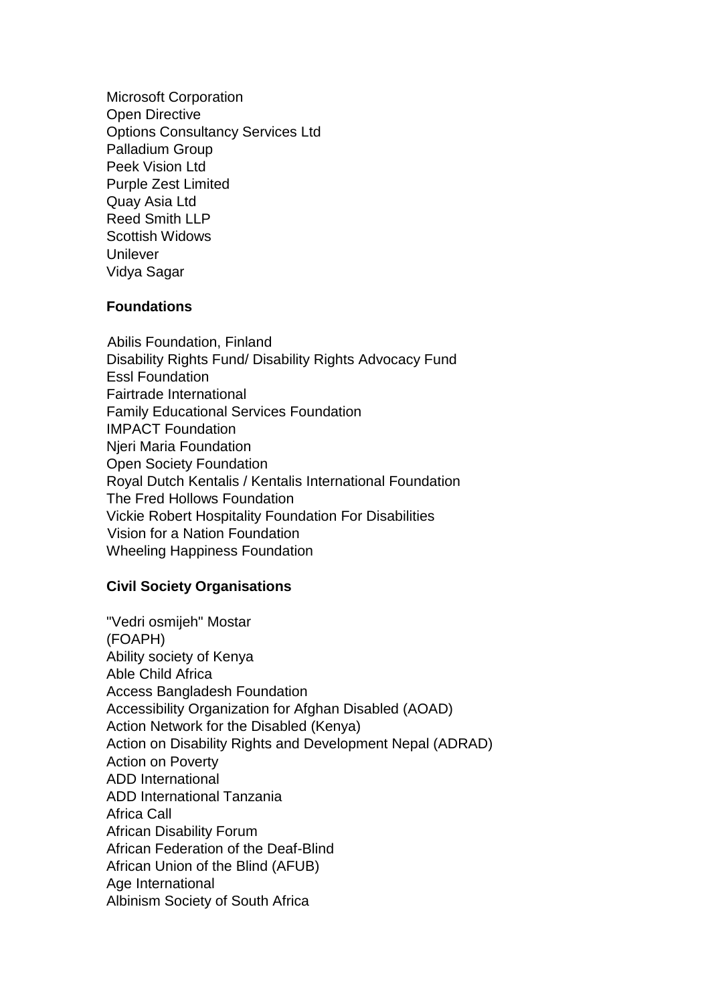Microsoft Corporation Open Directive Options Consultancy Services Ltd Palladium Group Peek Vision Ltd Purple Zest Limited Quay Asia Ltd Reed Smith LLP Scottish Widows **Unilever** Vidya Sagar

### **Foundations**

Abilis Foundation, Finland Disability Rights Fund/ Disability Rights Advocacy Fund Essl Foundation Fairtrade International Family Educational Services Foundation IMPACT Foundation Njeri Maria Foundation Open Society Foundation Royal Dutch Kentalis / Kentalis International Foundation The Fred Hollows Foundation Vickie Robert Hospitality Foundation For Disabilities Vision for a Nation Foundation Wheeling Happiness Foundation

#### **Civil Society Organisations**

"Vedri osmijeh" Mostar (FOAPH) Ability society of Kenya Able Child Africa Access Bangladesh Foundation Accessibility Organization for Afghan Disabled (AOAD) Action Network for the Disabled (Kenya) Action on Disability Rights and Development Nepal (ADRAD) Action on Poverty ADD International ADD International Tanzania Africa Call African Disability Forum African Federation of the Deaf-Blind African Union of the Blind (AFUB) Age International Albinism Society of South Africa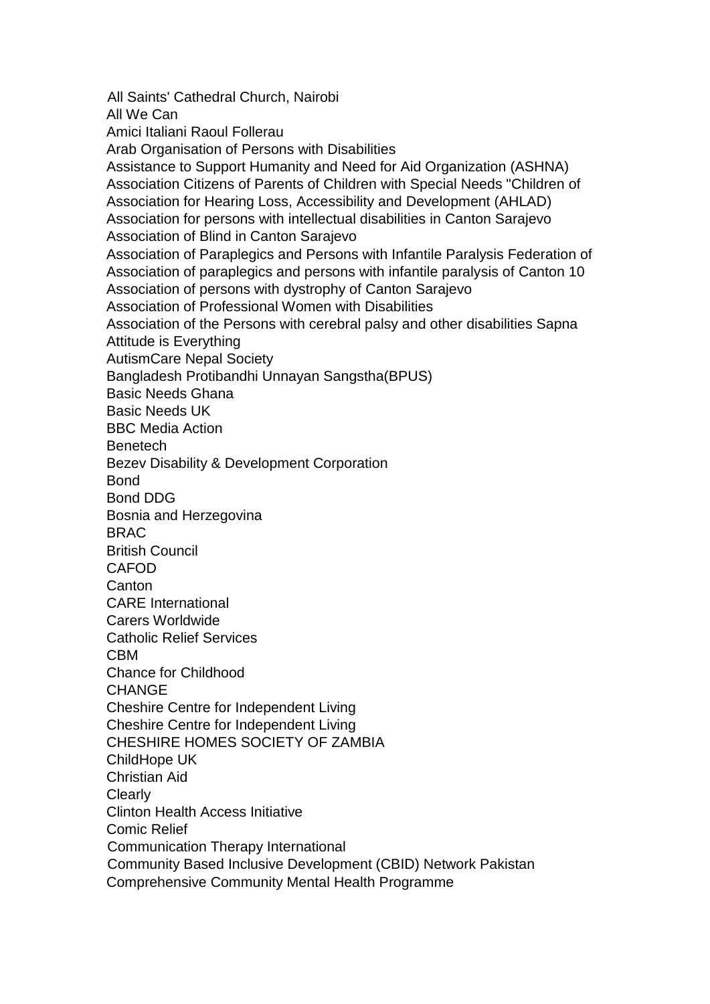All Saints' Cathedral Church, Nairobi All We Can Amici Italiani Raoul Follerau Arab Organisation of Persons with Disabilities Assistance to Support Humanity and Need for Aid Organization (ASHNA) Association Citizens of Parents of Children with Special Needs "Children of Association for Hearing Loss, Accessibility and Development (AHLAD) Association for persons with intellectual disabilities in Canton Sarajevo Association of Blind in Canton Sarajevo Association of Paraplegics and Persons with Infantile Paralysis Federation of Association of paraplegics and persons with infantile paralysis of Canton 10 Association of persons with dystrophy of Canton Sarajevo Association of Professional Women with Disabilities Association of the Persons with cerebral palsy and other disabilities Sapna Attitude is Everything AutismCare Nepal Society Bangladesh Protibandhi Unnayan Sangstha(BPUS) Basic Needs Ghana Basic Needs UK BBC Media Action **Benetech** Bezev Disability & Development Corporation **Bond** Bond DDG Bosnia and Herzegovina BRAC British Council CAFOD Canton CARE International Carers Worldwide Catholic Relief Services CBM Chance for Childhood CHANGE Cheshire Centre for Independent Living Cheshire Centre for Independent Living CHESHIRE HOMES SOCIETY OF ZAMBIA ChildHope UK Christian Aid **Clearly** Clinton Health Access Initiative Comic Relief Communication Therapy International Community Based Inclusive Development (CBID) Network Pakistan Comprehensive Community Mental Health Programme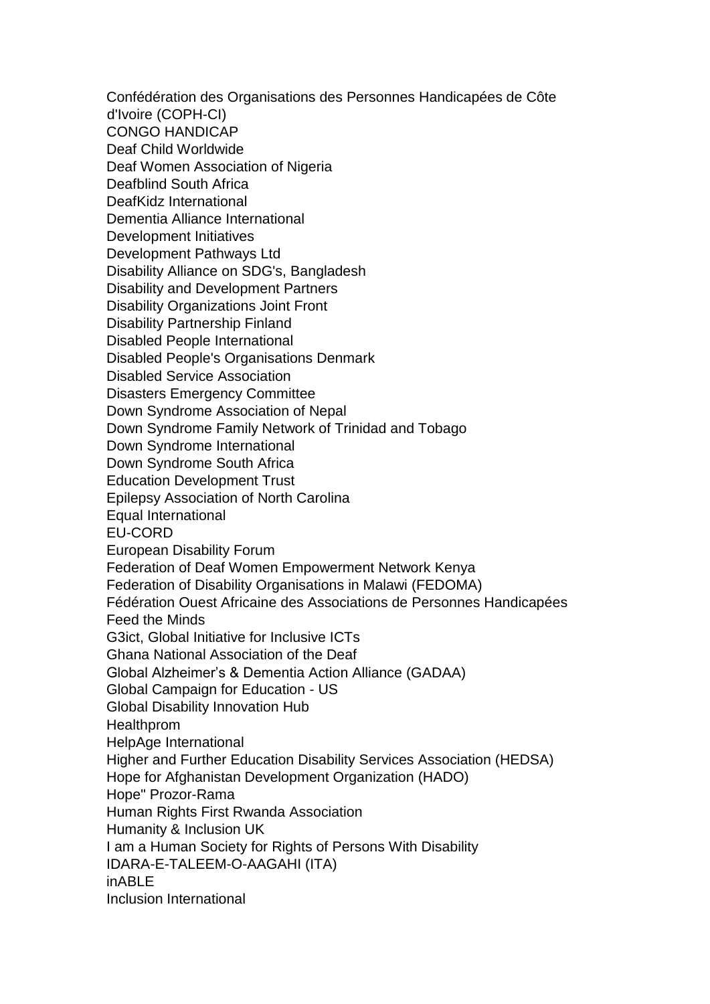Confédération des Organisations des Personnes Handicapées de Côte d'Ivoire (COPH-CI) CONGO HANDICAP Deaf Child Worldwide Deaf Women Association of Nigeria Deafblind South Africa DeafKidz International Dementia Alliance International Development Initiatives Development Pathways Ltd Disability Alliance on SDG's, Bangladesh Disability and Development Partners Disability Organizations Joint Front Disability Partnership Finland Disabled People International Disabled People's Organisations Denmark Disabled Service Association Disasters Emergency Committee Down Syndrome Association of Nepal Down Syndrome Family Network of Trinidad and Tobago Down Syndrome International Down Syndrome South Africa Education Development Trust Epilepsy Association of North Carolina Equal International EU-CORD European Disability Forum Federation of Deaf Women Empowerment Network Kenya Federation of Disability Organisations in Malawi (FEDOMA) Fédération Ouest Africaine des Associations de Personnes Handicapées Feed the Minds G3ict, Global Initiative for Inclusive ICTs Ghana National Association of the Deaf Global Alzheimer's & Dementia Action Alliance (GADAA) Global Campaign for Education - US Global Disability Innovation Hub **Healthprom** HelpAge International Higher and Further Education Disability Services Association (HEDSA) Hope for Afghanistan Development Organization (HADO) Hope" Prozor-Rama Human Rights First Rwanda Association Humanity & Inclusion UK I am a Human Society for Rights of Persons With Disability IDARA-E-TALEEM-O-AAGAHI (ITA) inABLE Inclusion International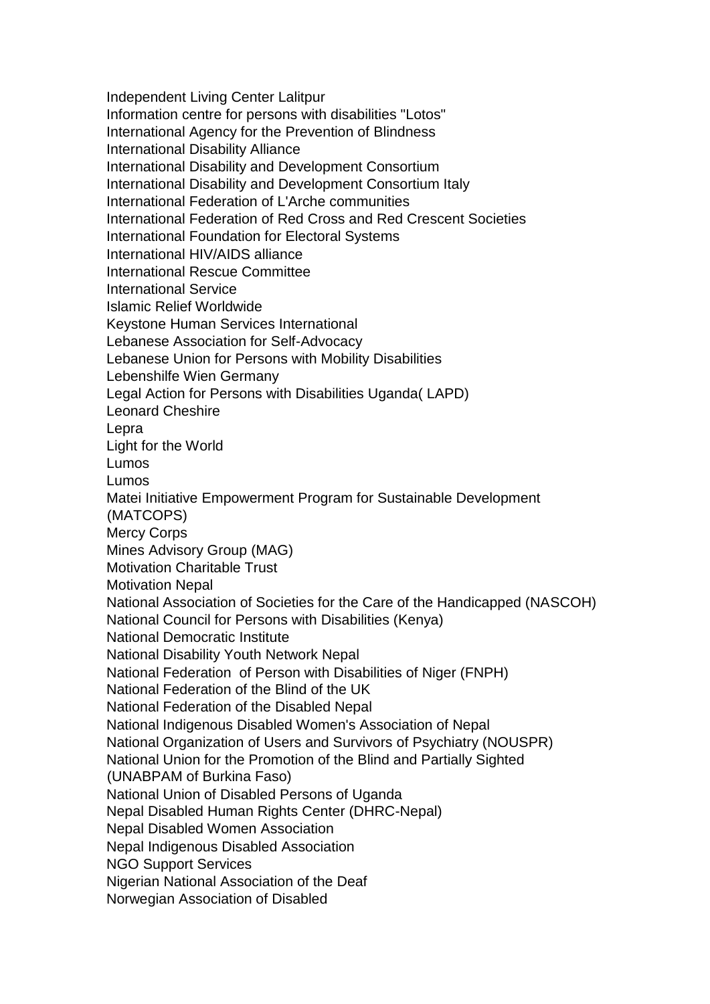Independent Living Center Lalitpur Information centre for persons with disabilities "Lotos" International Agency for the Prevention of Blindness International Disability Alliance International Disability and Development Consortium International Disability and Development Consortium Italy International Federation of L'Arche communities International Federation of Red Cross and Red Crescent Societies International Foundation for Electoral Systems International HIV/AIDS alliance International Rescue Committee International Service Islamic Relief Worldwide Keystone Human Services International Lebanese Association for Self-Advocacy Lebanese Union for Persons with Mobility Disabilities Lebenshilfe Wien Germany Legal Action for Persons with Disabilities Uganda( LAPD) Leonard Cheshire Lepra Light for the World Lumos Lumos Matei Initiative Empowerment Program for Sustainable Development (MATCOPS) Mercy Corps Mines Advisory Group (MAG) Motivation Charitable Trust Motivation Nepal National Association of Societies for the Care of the Handicapped (NASCOH) National Council for Persons with Disabilities (Kenya) National Democratic Institute National Disability Youth Network Nepal National Federation of Person with Disabilities of Niger (FNPH) National Federation of the Blind of the UK National Federation of the Disabled Nepal National Indigenous Disabled Women's Association of Nepal National Organization of Users and Survivors of Psychiatry (NOUSPR) National Union for the Promotion of the Blind and Partially Sighted (UNABPAM of Burkina Faso) National Union of Disabled Persons of Uganda Nepal Disabled Human Rights Center (DHRC-Nepal) Nepal Disabled Women Association Nepal Indigenous Disabled Association NGO Support Services Nigerian National Association of the Deaf Norwegian Association of Disabled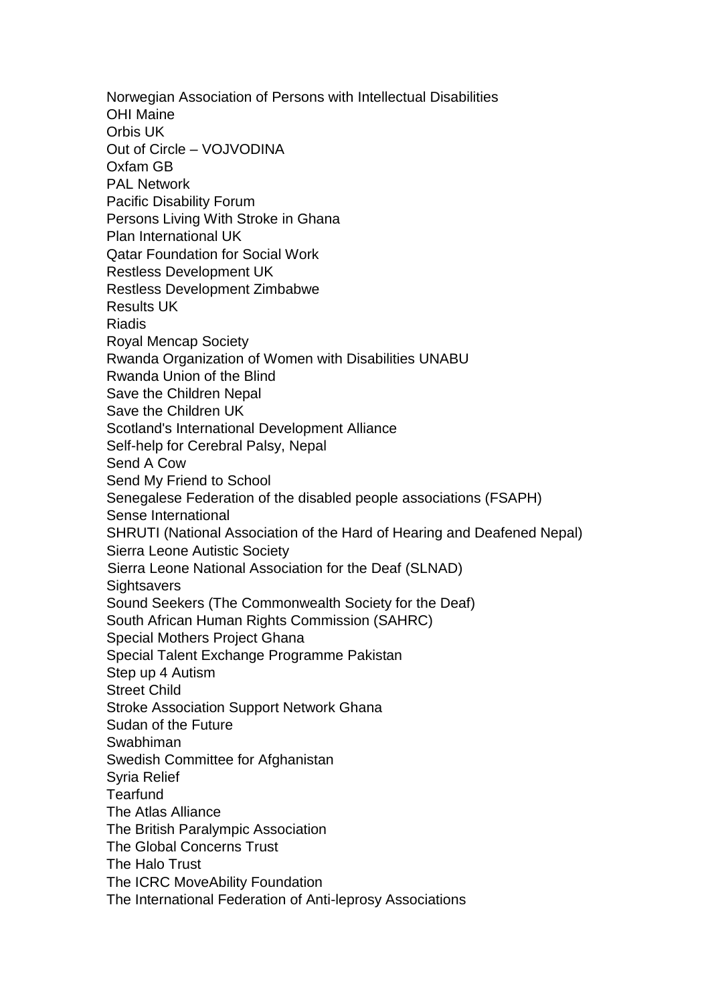Norwegian Association of Persons with Intellectual Disabilities OHI Maine Orbis UK Out of Circle – VOJVODINA Oxfam GB PAL Network Pacific Disability Forum Persons Living With Stroke in Ghana Plan International UK Qatar Foundation for Social Work Restless Development UK Restless Development Zimbabwe Results UK Riadis Royal Mencap Society Rwanda Organization of Women with Disabilities UNABU Rwanda Union of the Blind Save the Children Nepal Save the Children UK Scotland's International Development Alliance Self-help for Cerebral Palsy, Nepal Send A Cow Send My Friend to School Senegalese Federation of the disabled people associations (FSAPH) Sense International SHRUTI (National Association of the Hard of Hearing and Deafened Nepal) Sierra Leone Autistic Society Sierra Leone National Association for the Deaf (SLNAD) **Sightsavers** Sound Seekers (The Commonwealth Society for the Deaf) South African Human Rights Commission (SAHRC) Special Mothers Project Ghana Special Talent Exchange Programme Pakistan Step up 4 Autism Street Child Stroke Association Support Network Ghana Sudan of the Future Swabhiman Swedish Committee for Afghanistan Syria Relief **Tearfund** The Atlas Alliance The British Paralympic Association The Global Concerns Trust The Halo Trust The ICRC MoveAbility Foundation The International Federation of Anti-leprosy Associations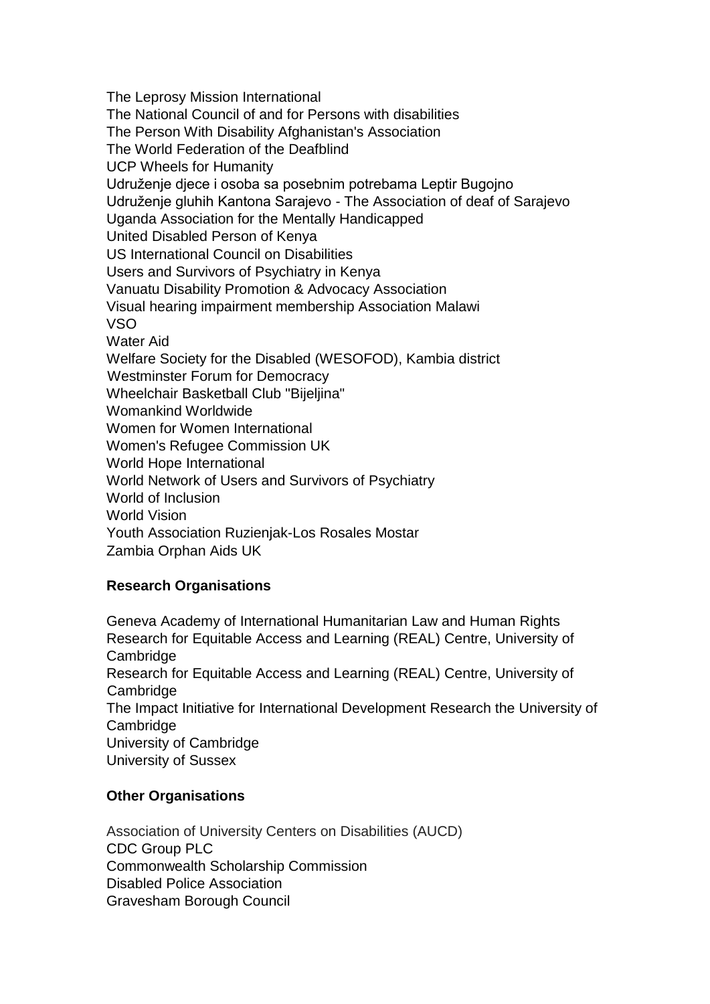The Leprosy Mission International The National Council of and for Persons with disabilities The Person With Disability Afghanistan's Association The World Federation of the Deafblind UCP Wheels for Humanity Udruženje djece i osoba sa posebnim potrebama Leptir Bugojno Udruženje gluhih Kantona Sarajevo - The Association of deaf of Sarajevo Uganda Association for the Mentally Handicapped United Disabled Person of Kenya US International Council on Disabilities Users and Survivors of Psychiatry in Kenya Vanuatu Disability Promotion & Advocacy Association Visual hearing impairment membership Association Malawi VSO Water Aid Welfare Society for the Disabled (WESOFOD), Kambia district Westminster Forum for Democracy Wheelchair Basketball Club "Bijeljina" Womankind Worldwide Women for Women International Women's Refugee Commission UK World Hope International World Network of Users and Survivors of Psychiatry World of Inclusion World Vision Youth Association Ruzienjak-Los Rosales Mostar Zambia Orphan Aids UK

### **Research Organisations**

Geneva Academy of International Humanitarian Law and Human Rights Research for Equitable Access and Learning (REAL) Centre, University of **Cambridge** Research for Equitable Access and Learning (REAL) Centre, University of **Cambridge** The Impact Initiative for International Development Research the University of **Cambridge** University of Cambridge University of Sussex

## **Other Organisations**

Association of University Centers on Disabilities (AUCD) CDC Group PLC Commonwealth Scholarship Commission Disabled Police Association Gravesham Borough Council